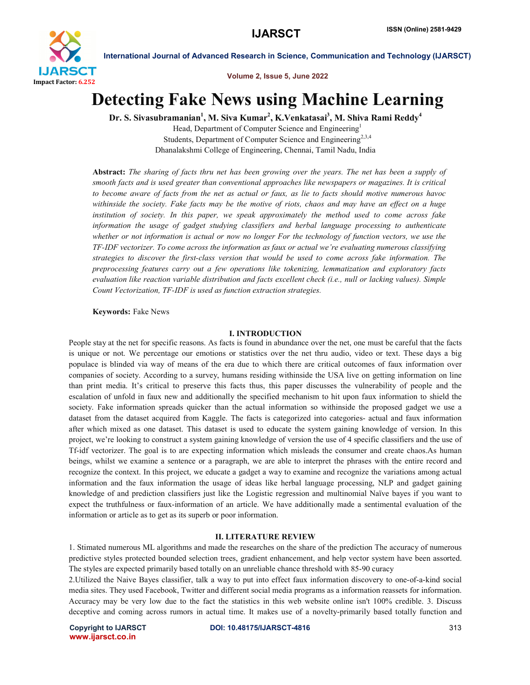

Volume 2, Issue 5, June 2022

# Detecting Fake News using Machine Learning

Dr. S. Sivasubramanian $^1$ , M. Siva Kumar $^2$ , K.Venkatasai $^3$ , M. Shiva Rami Reddy $^4$ 

Head, Department of Computer Science and Engineering<sup>1</sup> Students, Department of Computer Science and Engineering<sup>2,3,4</sup> Dhanalakshmi College of Engineering, Chennai, Tamil Nadu, India

Abstract: *The sharing of facts thru net has been growing over the years. The net has been a supply of smooth facts and is used greater than conventional approaches like newspapers or magazines. It is critical to become aware of facts from the net as actual or faux, as lie to facts should motive numerous havoc withinside the society. Fake facts may be the motive of riots, chaos and may have an effect on a huge institution of society. In this paper, we speak approximately the method used to come across fake information the usage of gadget studying classifiers and herbal language processing to authenticate whether or not information is actual or now no longer For the technology of function vectors, we use the TF-IDF vectorizer. To come across the information as faux or actual we're evaluating numerous classifying strategies to discover the first-class version that would be used to come across fake information. The preprocessing features carry out a few operations like tokenizing, lemmatization and exploratory facts evaluation like reaction variable distribution and facts excellent check (i.e., null or lacking values). Simple Count Vectorization, TF-IDF is used as function extraction strategies.*

# Keywords: Fake News

### I. INTRODUCTION

People stay at the net for specific reasons. As facts is found in abundance over the net, one must be careful that the facts is unique or not. We percentage our emotions or statistics over the net thru audio, video or text. These days a big populace is blinded via way of means of the era due to which there are critical outcomes of faux information over companies of society. According to a survey, humans residing withinside the USA live on getting information on line than print media. It's critical to preserve this facts thus, this paper discusses the vulnerability of people and the escalation of unfold in faux new and additionally the specified mechanism to hit upon faux information to shield the society. Fake information spreads quicker than the actual information so withinside the proposed gadget we use a dataset from the dataset acquired from Kaggle. The facts is categorized into categories- actual and faux information after which mixed as one dataset. This dataset is used to educate the system gaining knowledge of version. In this project, we're looking to construct a system gaining knowledge of version the use of 4 specific classifiers and the use of Tf-idf vectorizer. The goal is to are expecting information which misleads the consumer and create chaos.As human beings, whilst we examine a sentence or a paragraph, we are able to interpret the phrases with the entire record and recognize the context. In this project, we educate a gadget a way to examine and recognize the variations among actual information and the faux information the usage of ideas like herbal language processing, NLP and gadget gaining knowledge of and prediction classifiers just like the Logistic regression and multinomial Naïve bayes if you want to expect the truthfulness or faux-information of an article. We have additionally made a sentimental evaluation of the information or article as to get as its superb or poor information.

### II. LITERATURE REVIEW

1. Stimated numerous ML algorithms and made the researches on the share of the prediction The accuracy of numerous predictive styles protected bounded selection trees, gradient enhancement, and help vector system have been assorted. The styles are expected primarily based totally on an unreliable chance threshold with 85-90 curacy

2.Utilized the Naive Bayes classifier, talk a way to put into effect faux information discovery to one-of-a-kind social media sites. They used Facebook, Twitter and different social media programs as a information reassets for information. Accuracy may be very low due to the fact the statistics in this web website online isn't 100% credible. 3. Discuss deceptive and coming across rumors in actual time. It makes use of a novelty-primarily based totally function and

www.ijarsct.co.in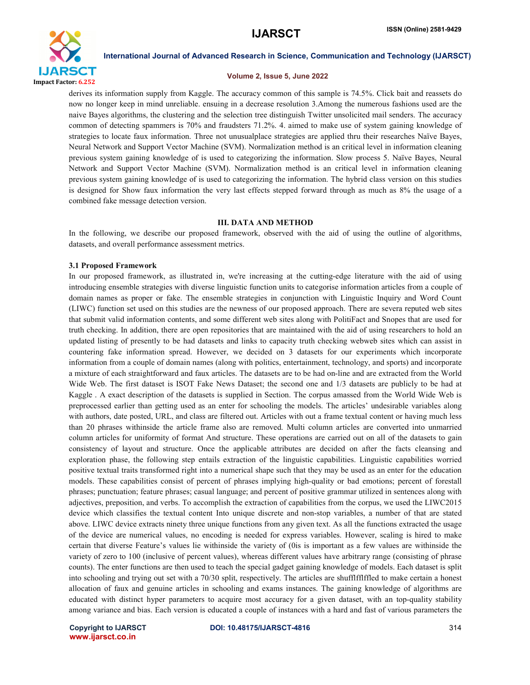

### Volume 2, Issue 5, June 2022

derives its information supply from Kaggle. The accuracy common of this sample is 74.5%. Click bait and reassets do now no longer keep in mind unreliable. ensuing in a decrease resolution 3.Among the numerous fashions used are the naive Bayes algorithms, the clustering and the selection tree distinguish Twitter unsolicited mail senders. The accuracy common of detecting spammers is 70% and fraudsters 71.2%. 4. aimed to make use of system gaining knowledge of strategies to locate faux information. Three not unusualplace strategies are applied thru their researches Naïve Bayes, Neural Network and Support Vector Machine (SVM). Normalization method is an critical level in information cleaning previous system gaining knowledge of is used to categorizing the information. Slow process 5. Naïve Bayes, Neural Network and Support Vector Machine (SVM). Normalization method is an critical level in information cleaning previous system gaining knowledge of is used to categorizing the information. The hybrid class version on this studies is designed for Show faux information the very last effects stepped forward through as much as 8% the usage of a combined fake message detection version.

### III. DATA AND METHOD

In the following, we describe our proposed framework, observed with the aid of using the outline of algorithms, datasets, and overall performance assessment metrics.

### 3.1 Proposed Framework

In our proposed framework, as illustrated in, we're increasing at the cutting-edge literature with the aid of using introducing ensemble strategies with diverse linguistic function units to categorise information articles from a couple of domain names as proper or fake. The ensemble strategies in conjunction with Linguistic Inquiry and Word Count (LIWC) function set used on this studies are the newness of our proposed approach. There are severa reputed web sites that submit valid information contents, and some different web sites along with PolitiFact and Snopes that are used for truth checking. In addition, there are open repositories that are maintained with the aid of using researchers to hold an updated listing of presently to be had datasets and links to capacity truth checking webweb sites which can assist in countering fake information spread. However, we decided on 3 datasets for our experiments which incorporate information from a couple of domain names (along with politics, entertainment, technology, and sports) and incorporate a mixture of each straightforward and faux articles. The datasets are to be had on-line and are extracted from the World Wide Web. The first dataset is ISOT Fake News Dataset; the second one and 1/3 datasets are publicly to be had at Kaggle . A exact description of the datasets is supplied in Section. The corpus amassed from the World Wide Web is preprocessed earlier than getting used as an enter for schooling the models. The articles' undesirable variables along with authors, date posted, URL, and class are filtered out. Articles with out a frame textual content or having much less than 20 phrases withinside the article frame also are removed. Multi column articles are converted into unmarried column articles for uniformity of format And structure. These operations are carried out on all of the datasets to gain consistency of layout and structure. Once the applicable attributes are decided on after the facts cleansing and exploration phase, the following step entails extraction of the linguistic capabilities. Linguistic capabilities worried positive textual traits transformed right into a numerical shape such that they may be used as an enter for the education models. These capabilities consist of percent of phrases implying high-quality or bad emotions; percent of forestall phrases; punctuation; feature phrases; casual language; and percent of positive grammar utilized in sentences along with adjectives, preposition, and verbs. To accomplish the extraction of capabilities from the corpus, we used the LIWC2015 device which classifies the textual content Into unique discrete and non-stop variables, a number of that are stated above. LIWC device extracts ninety three unique functions from any given text. As all the functions extracted the usage of the device are numerical values, no encoding is needed for express variables. However, scaling is hired to make certain that diverse Feature's values lie withinside the variety of (0is is important as a few values are withinside the variety of zero to 100 (inclusive of percent values), whereas different values have arbitrary range (consisting of phrase counts). The enter functions are then used to teach the special gadget gaining knowledge of models. Each dataset is split into schooling and trying out set with a 70/30 split, respectively. The articles are shufflfflffled to make certain a honest allocation of faux and genuine articles in schooling and exams instances. The gaining knowledge of algorithms are educated with distinct hyper parameters to acquire most accuracy for a given dataset, with an top-quality stability among variance and bias. Each version is educated a couple of instances with a hard and fast of various parameters the

www.ijarsct.co.in

### Copyright to IJARSCT DOI: 10.48175/IJARSCT-4816 **314**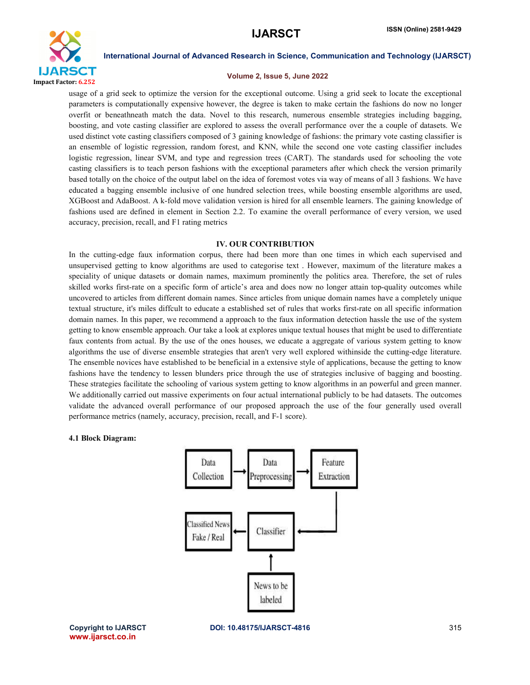

### Volume 2, Issue 5, June 2022

usage of a grid seek to optimize the version for the exceptional outcome. Using a grid seek to locate the exceptional parameters is computationally expensive however, the degree is taken to make certain the fashions do now no longer overfit or beneathneath match the data. Novel to this research, numerous ensemble strategies including bagging, boosting, and vote casting classifier are explored to assess the overall performance over the a couple of datasets. We used distinct vote casting classifiers composed of 3 gaining knowledge of fashions: the primary vote casting classifier is an ensemble of logistic regression, random forest, and KNN, while the second one vote casting classifier includes logistic regression, linear SVM, and type and regression trees (CART). The standards used for schooling the vote casting classifiers is to teach person fashions with the exceptional parameters after which check the version primarily based totally on the choice of the output label on the idea of foremost votes via way of means of all 3 fashions. We have educated a bagging ensemble inclusive of one hundred selection trees, while boosting ensemble algorithms are used, XGBoost and AdaBoost. A k-fold move validation version is hired for all ensemble learners. The gaining knowledge of fashions used are defined in element in Section 2.2. To examine the overall performance of every version, we used accuracy, precision, recall, and F1 rating metrics

### IV. OUR CONTRIBUTION

In the cutting-edge faux information corpus, there had been more than one times in which each supervised and unsupervised getting to know algorithms are used to categorise text . However, maximum of the literature makes a speciality of unique datasets or domain names, maximum prominently the politics area. Therefore, the set of rules skilled works first-rate on a specific form of article's area and does now no longer attain top-quality outcomes while uncovered to articles from different domain names. Since articles from unique domain names have a completely unique textual structure, it's miles diffcult to educate a established set of rules that works first-rate on all specific information domain names. In this paper, we recommend a approach to the faux information detection hassle the use of the system getting to know ensemble approach. Our take a look at explores unique textual houses that might be used to differentiate faux contents from actual. By the use of the ones houses, we educate a aggregate of various system getting to know algorithms the use of diverse ensemble strategies that aren't very well explored withinside the cutting-edge literature. The ensemble novices have established to be beneficial in a extensive style of applications, because the getting to know fashions have the tendency to lessen blunders price through the use of strategies inclusive of bagging and boosting. These strategies facilitate the schooling of various system getting to know algorithms in an powerful and green manner. We additionally carried out massive experiments on four actual international publicly to be had datasets. The outcomes validate the advanced overall performance of our proposed approach the use of the four generally used overall performance metrics (namely, accuracy, precision, recall, and F-1 score).

### 4.1 Block Diagram:



www.ijarsct.co.in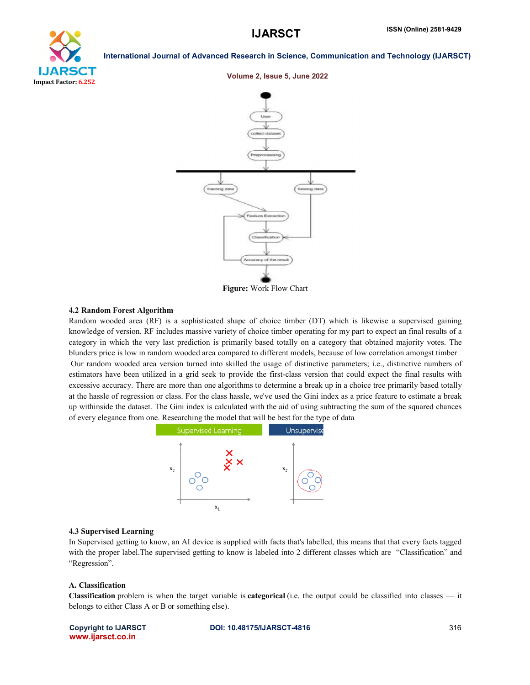





Figure: Work Flow Chart

### 4.2 Random Forest Algorithm

Random wooded area (RF) is a sophisticated shape of choice timber (DT) which is likewise a supervised gaining knowledge of version. RF includes massive variety of choice timber operating for my part to expect an final results of a category in which the very last prediction is primarily based totally on a category that obtained majority votes. The blunders price is low in random wooded area compared to different models, because of low correlation amongst timber Our random wooded area version turned into skilled the usage of distinctive parameters; i.e., distinctive numbers of estimators have been utilized in a grid seek to provide the first-class version that could expect the final results with excessive accuracy. There are more than one algorithms to determine a break up in a choice tree primarily based totally at the hassle of regression or class. For the class hassle, we've used the Gini index as a price feature to estimate a break up withinside the dataset. The Gini index is calculated with the aid of using subtracting the sum of the squared chances of every elegance from one. Researching the model that will be best for the type of data **belong the control of Advanced Research in Science, Communication and Technology (LIARSC<br>
SCT International Journal of Advanced Research is Science, Communication and Technology (LIARSC<br>
Control of the control of the con** 



### 4.3 Supervised Learning

In Supervised getting to know, an AI device is supplied with facts that's labelled, this means that that every facts tagged with the proper label. The supervised getting to know is labeled into 2 different classes which are "Classification" and "Regression".

# A. Classification

**Classification** problem is when the target variable is **categorical** (i.e. the output could be classified into classes  $-$  it belongs to either Class A or B or something else).

Copyright to IJARSCT www.ijarsct.co.in

DOI: 10.48175/IJARSCT-4816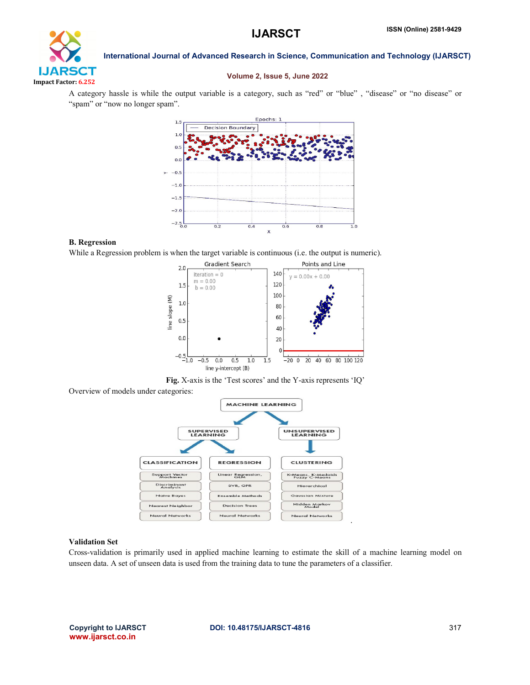

### Volume 2, Issue 5, June 2022

A category hassle is while the output variable is a category, such as "red" or "blue", "disease" or "no disease" or "spam" or "now no longer spam".



# B. Regression

While a Regression problem is when the target variable is continuous (i.e. the output is numeric).



Fig. X-axis is the 'Test scores' and the Y-axis represents 'IQ'





### Validation Set

Cross-validation is primarily used in applied machine learning to estimate the skill of a machine learning model on unseen data. A set of unseen data is used from the training data to tune the parameters of a classifier.

.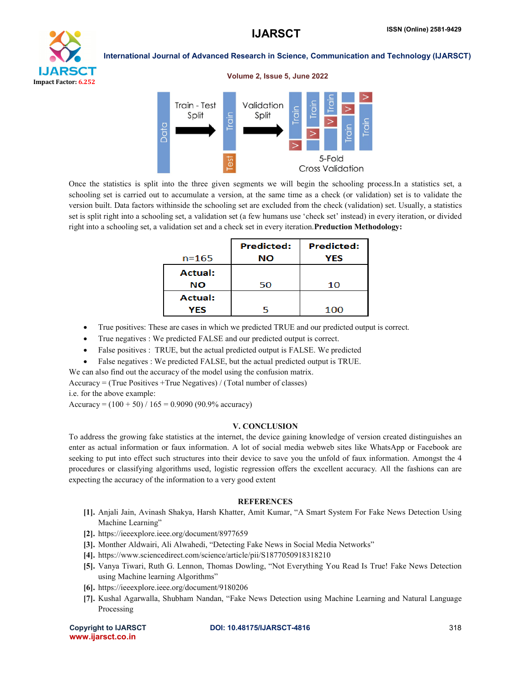# Impact Factor: 6.252

# International Journal of Advanced Research in Science, Communication and Technology (IJARSCT)



Once the statistics is split into the three given segments we will begin the schooling process.In a statistics set, a schooling set is carried out to accumulate a version, at the same time as a check (or validation) set is to validate the version built. Data factors withinside the schooling set are excluded from the check (validation) set. Usually, a statistics set is split right into a schooling set, a validation set (a few humans use 'check set' instead) in every iteration, or divided right into a schooling set, a validation set and a check set in every iteration. Preduction Methodology:

|                | <b>Predicted:</b> | <b>Predicted:</b> |
|----------------|-------------------|-------------------|
| $n = 165$      | NΟ                | YES               |
| <b>Actual:</b> |                   |                   |
| NΟ             | 50                | 10                |
| <b>Actual:</b> |                   |                   |
| YES            |                   | 100               |

- True positives: These are cases in which we predicted TRUE and our predicted output is correct.
- True negatives : We predicted FALSE and our predicted output is correct.
- False positives : TRUE, but the actual predicted output is FALSE. We predicted
- False negatives : We predicted FALSE, but the actual predicted output is TRUE.

We can also find out the accuracy of the model using the confusion matrix.

Accuracy = (True Positives +True Negatives) / (Total number of classes)

i.e. for the above example:

Accuracy =  $(100 + 50)$  / 165 = 0.9090 (90.9% accuracy)

### V. CONCLUSION

To address the growing fake statistics at the internet, the device gaining knowledge of version created distinguishes an enter as actual information or faux information. A lot of social media webweb sites like WhatsApp or Facebook are seeking to put into effect such structures into their device to save you the unfold of faux information. Amongst the 4 procedures or classifying algorithms used, logistic regression offers the excellent accuracy. All the fashions can are expecting the accuracy of the information to a very good extent

### **REFERENCES**

- [1]. Anjali Jain, Avinash Shakya, Harsh Khatter, Amit Kumar, "A Smart System For Fake News Detection Using Machine Learning"
- [2]. https://ieeexplore.ieee.org/document/8977659
- [3]. Monther Aldwairi, Ali Alwahedi, "Detecting Fake News in Social Media Networks"
- [4]. https://www.sciencedirect.com/science/article/pii/S1877050918318210
- [5]. Vanya Tiwari, Ruth G. Lennon, Thomas Dowling, "Not Everything You Read Is True! Fake News Detection using Machine learning Algorithms"
- [6]. https://ieeexplore.ieee.org/document/9180206
- [7]. Kushal Agarwalla, Shubham Nandan, "Fake News Detection using Machine Learning and Natural Language Processing

www.ijarsct.co.in

### Copyright to IJARSCT DOI: 10.48175/IJARSCT-4816 **318**